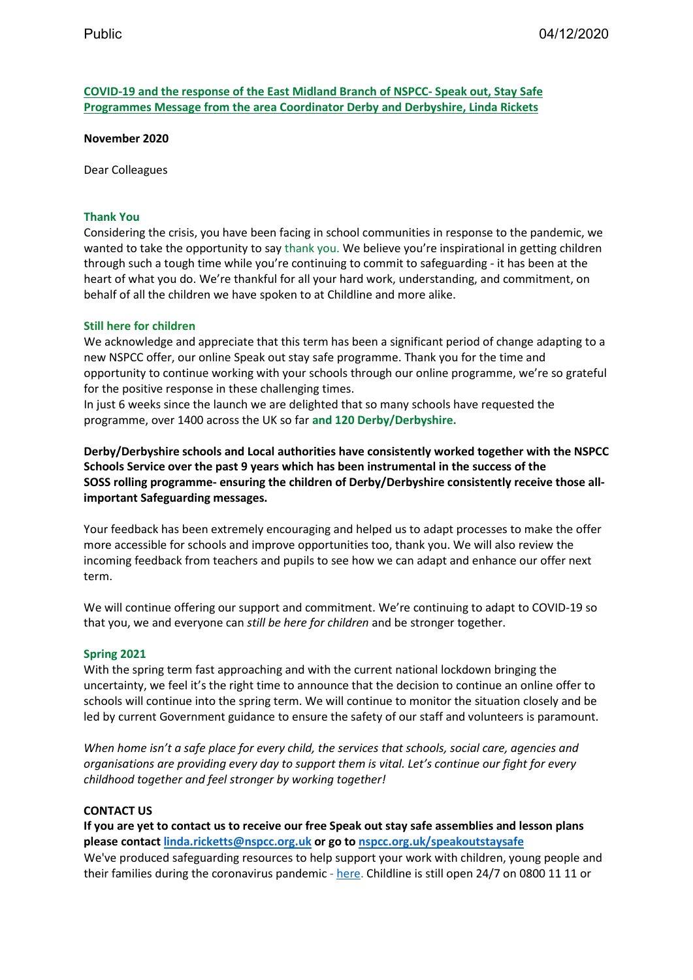**COVID-19 and the response of the East Midland Branch of NSPCC- Speak out, Stay Safe Programmes Message from the area Coordinator Derby and Derbyshire, Linda Rickets** 

 **November 2020** 

Dear Colleagues

## **Thank You**

 Considering the crisis, you have been facing in school communities in response to the pandemic, we through such a tough time while you're continuing to commit to safeguarding - it has been at the heart of what you do. We're thankful for all your hard work, understanding, and commitment, on wanted to take the opportunity to say thank you. We believe you're inspirational in getting children behalf of all the children we have spoken to at Childline and more alike.

## **Still here for children**

We acknowledge and appreciate that this term has been a significant period of change adapting to a new NSPCC offer, our online Speak out stay safe programme. Thank you for the time and opportunity to continue working with your schools through our online programme, we're so grateful for the positive response in these challenging times.

 In just 6 weeks since the launch we are delighted that so many schools have requested the programme, over 1400 across the UK so far **and 120 Derby/Derbyshire.** 

 **Derby/Derbyshire schools and Local authorities have consistently worked together with the NSPCC Schools Service over the past 9 years which has been instrumental in the success of the SOSS rolling programme- ensuring the children of Derby/Derbyshire consistently receive those allimportant Safeguarding messages.** 

 more accessible for schools and improve opportunities too, thank you. We will also review the Your feedback has been extremely encouraging and helped us to adapt processes to make the offer incoming feedback from teachers and pupils to see how we can adapt and enhance our offer next term.

 that you, we and everyone can *still be here for children* and be stronger together. We will continue offering our support and commitment. We're continuing to adapt to COVID-19 so

## **Spring 2021**

 uncertainty, we feel it's the right time to announce that the decision to continue an online offer to schools will continue into the spring term. We will continue to monitor the situation closely and be led by current Government guidance to ensure the safety of our staff and volunteers is paramount. With the spring term fast approaching and with the current national lockdown bringing the

 *organisations are providing every day to support them is vital. Let's continue our fight for every When home isn't a safe place for every child, the services that schools, social care, agencies and childhood together and feel stronger by working together!* 

### **CONTACT US**

 **If you are yet to contact us to receive our free Speak out stay safe assemblies and lesson plans**  their families during the coronavirus pandemic - [here.](https://learning.nspcc.org.uk/safeguarding-child-protection/coronavirus) Childline is still open 24/7 on 0800 11 11 or **please contac[t linda.ricketts@nspcc.org.uk](mailto:linda.ricketts@nspcc.org.uk) or go to [nspcc.org.uk/speakoutstaysafe](https://www.nspcc.org.uk/keeping-children-safe/our-services/working-with-schools/)**  We've produced safeguarding resources to help support your work with children, young people and